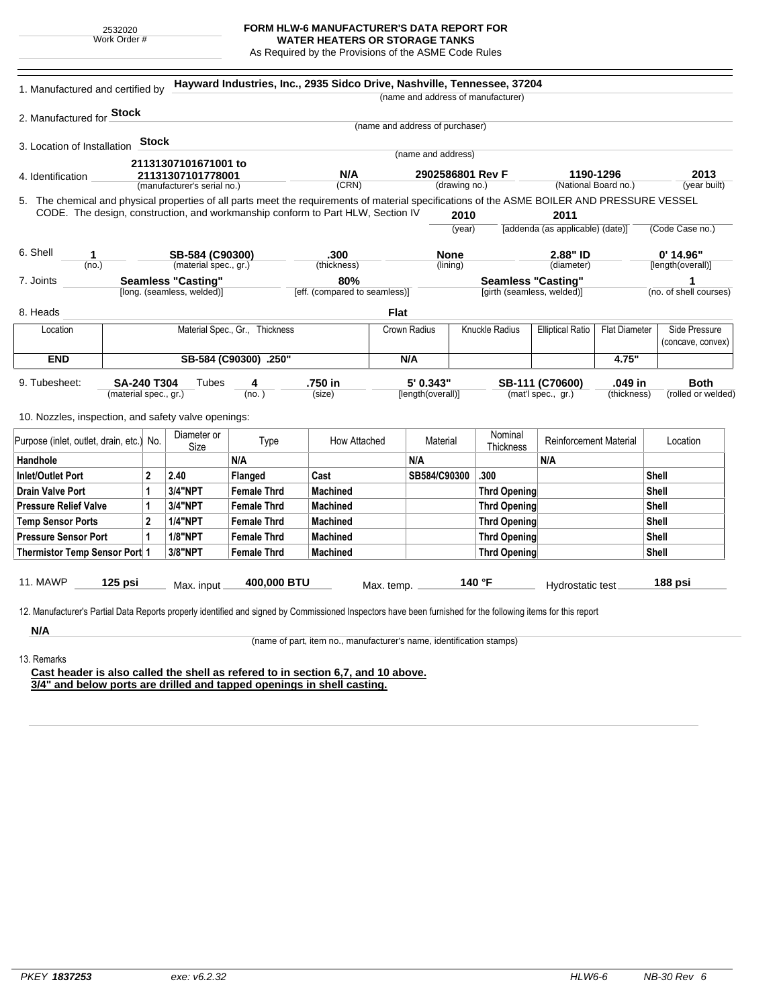2532020 Work Order #

## **FORM HLW-6 MANUFACTURER'S DATA REPORT FOR**

**WATER HEATERS OR STORAGE TANKS** As Required by the Provisions of the ASME Code Rules

|                                                                                                                                                                                                                                                                                                                                                                                                                                                                                            | 1. Manufactured and certified by                 |                            | Hayward Industries, Inc., 2935 Sidco Drive, Nashville, Tennessee, 37204 |                                                                      |             |                                       | (name and address of manufacturer) |                                       |                        |                                    |
|--------------------------------------------------------------------------------------------------------------------------------------------------------------------------------------------------------------------------------------------------------------------------------------------------------------------------------------------------------------------------------------------------------------------------------------------------------------------------------------------|--------------------------------------------------|----------------------------|-------------------------------------------------------------------------|----------------------------------------------------------------------|-------------|---------------------------------------|------------------------------------|---------------------------------------|------------------------|------------------------------------|
| 2. Manufactured for <b>Stock</b>                                                                                                                                                                                                                                                                                                                                                                                                                                                           |                                                  |                            |                                                                         |                                                                      |             |                                       |                                    |                                       |                        |                                    |
|                                                                                                                                                                                                                                                                                                                                                                                                                                                                                            |                                                  |                            |                                                                         |                                                                      |             | (name and address of purchaser)       |                                    |                                       |                        |                                    |
| 3. Location of Installation                                                                                                                                                                                                                                                                                                                                                                                                                                                                | <b>Stock</b>                                     |                            |                                                                         |                                                                      |             |                                       |                                    |                                       |                        |                                    |
|                                                                                                                                                                                                                                                                                                                                                                                                                                                                                            |                                                  | 21131307101671001 to       |                                                                         |                                                                      |             | (name and address)                    |                                    |                                       |                        |                                    |
| 4. Identification                                                                                                                                                                                                                                                                                                                                                                                                                                                                          | 21131307101778001<br>(manufacturer's serial no.) |                            |                                                                         | N/A<br>(CRN)                                                         |             | 2902586801 Rev F<br>(drawing no.)     |                                    | 1190-1296<br>(National Board no.)     |                        | 2013<br>(year built)               |
| 5. The chemical and physical properties of all parts meet the requirements of material specifications of the ASME BOILER AND PRESSURE VESSEL<br>CODE. The design, construction, and workmanship conform to Part HLW, Section IV                                                                                                                                                                                                                                                            |                                                  |                            |                                                                         |                                                                      |             |                                       | 2010                               | 2011                                  |                        |                                    |
|                                                                                                                                                                                                                                                                                                                                                                                                                                                                                            |                                                  |                            |                                                                         |                                                                      |             |                                       | (year)                             | [addenda (as applicable) (date)]      |                        | (Code Case no.)                    |
| 6. Shell<br>1                                                                                                                                                                                                                                                                                                                                                                                                                                                                              | SB-584 (C90300)                                  |                            |                                                                         | .300                                                                 |             | <b>None</b>                           |                                    | 2.88" ID                              |                        | $0'$ 14.96"                        |
| (no.)                                                                                                                                                                                                                                                                                                                                                                                                                                                                                      |                                                  | (material spec., gr.)      |                                                                         | (thickness)                                                          |             | (lining)                              |                                    | (diameter)                            |                        | [length(overall)]                  |
| 7. Joints                                                                                                                                                                                                                                                                                                                                                                                                                                                                                  |                                                  | <b>Seamless "Casting"</b>  |                                                                         | 80%                                                                  |             |                                       | <b>Seamless "Casting"</b>          |                                       |                        | 1                                  |
|                                                                                                                                                                                                                                                                                                                                                                                                                                                                                            |                                                  | [long. (seamless, welded)] |                                                                         | [eff. (compared to seamless)]                                        |             |                                       | [girth (seamless, welded)]         |                                       |                        | (no. of shell courses)             |
| 8. Heads                                                                                                                                                                                                                                                                                                                                                                                                                                                                                   |                                                  |                            |                                                                         |                                                                      | <b>Flat</b> |                                       |                                    |                                       |                        |                                    |
| Location                                                                                                                                                                                                                                                                                                                                                                                                                                                                                   |                                                  |                            | Material Spec., Gr., Thickness                                          |                                                                      |             | <b>Knuckle Radius</b><br>Crown Radius |                                    | <b>Elliptical Ratio</b>               | <b>Flat Diameter</b>   | Side Pressure<br>(concave, convex) |
| <b>END</b>                                                                                                                                                                                                                                                                                                                                                                                                                                                                                 |                                                  |                            | SB-584 (C90300) .250"                                                   |                                                                      |             | N/A                                   |                                    |                                       | 4.75"                  |                                    |
| 9. Tubesheet:<br><b>SA-240 T304</b><br>(material spec., gr.)                                                                                                                                                                                                                                                                                                                                                                                                                               |                                                  | Tubes                      | 4<br>(no.)                                                              | .750 in<br>(size)                                                    |             | 5' 0.343"<br>[length(overall)]        |                                    | SB-111 (C70600)<br>(mat'l spec., gr.) | .049 in<br>(thickness) | <b>Both</b>                        |
|                                                                                                                                                                                                                                                                                                                                                                                                                                                                                            |                                                  | Diameter or                |                                                                         |                                                                      |             |                                       | Nominal                            |                                       |                        |                                    |
|                                                                                                                                                                                                                                                                                                                                                                                                                                                                                            |                                                  | Size                       | Type                                                                    | How Attached                                                         |             | Material                              | Thickness                          | <b>Reinforcement Material</b>         |                        | Location                           |
|                                                                                                                                                                                                                                                                                                                                                                                                                                                                                            |                                                  |                            | N/A                                                                     |                                                                      |             | N/A                                   |                                    | N/A                                   |                        |                                    |
|                                                                                                                                                                                                                                                                                                                                                                                                                                                                                            | 2                                                | 2.40                       | <b>Flanged</b>                                                          | Cast                                                                 |             | SB584/C90300                          | .300                               |                                       |                        | Shell                              |
|                                                                                                                                                                                                                                                                                                                                                                                                                                                                                            | 1                                                | 3/4"NPT                    | <b>Female Thrd</b>                                                      | <b>Machined</b>                                                      |             |                                       | <b>Thrd Opening</b>                |                                       |                        | Shell                              |
|                                                                                                                                                                                                                                                                                                                                                                                                                                                                                            | 1                                                | 3/4"NPT                    | <b>Female Thrd</b>                                                      | <b>Machined</b>                                                      |             |                                       | <b>Thrd Opening</b>                |                                       |                        | Shell                              |
|                                                                                                                                                                                                                                                                                                                                                                                                                                                                                            | $\overline{2}$                                   | <b>1/4"NPT</b>             | <b>Female Thrd</b>                                                      | <b>Machined</b>                                                      |             |                                       | <b>Thrd Opening</b>                |                                       |                        | (rolled or welded)<br>Shell        |
|                                                                                                                                                                                                                                                                                                                                                                                                                                                                                            | $\mathbf{1}$                                     | <b>1/8"NPT</b>             | <b>Female Thrd</b>                                                      | <b>Machined</b>                                                      |             |                                       | <b>Thrd Opening</b>                |                                       |                        | Shell                              |
|                                                                                                                                                                                                                                                                                                                                                                                                                                                                                            |                                                  | 3/8"NPT                    | <b>Female Thrd</b>                                                      | <b>Machined</b>                                                      |             |                                       | <b>Thrd Opening</b>                |                                       |                        | Shell                              |
| $125$ psi                                                                                                                                                                                                                                                                                                                                                                                                                                                                                  |                                                  | Max. input                 | 400,000 BTU                                                             |                                                                      | Max. temp.  |                                       | 140 °F                             | <b>Hydrostatic test</b>               |                        | 188 psi                            |
|                                                                                                                                                                                                                                                                                                                                                                                                                                                                                            |                                                  |                            |                                                                         |                                                                      |             |                                       |                                    |                                       |                        |                                    |
|                                                                                                                                                                                                                                                                                                                                                                                                                                                                                            |                                                  |                            |                                                                         |                                                                      |             |                                       |                                    |                                       |                        |                                    |
| N/A                                                                                                                                                                                                                                                                                                                                                                                                                                                                                        |                                                  |                            |                                                                         |                                                                      |             |                                       |                                    |                                       |                        |                                    |
| 10. Nozzles, inspection, and safety valve openings:<br>Purpose (inlet, outlet, drain, etc.) No.<br>Handhole<br><b>Inlet/Outlet Port</b><br><b>Drain Valve Port</b><br><b>Pressure Relief Valve</b><br><b>Temp Sensor Ports</b><br><b>Pressure Sensor Port</b><br>Thermistor Temp Sensor Port 1<br>11. MAWP<br>12. Manufacturer's Partial Data Reports properly identified and signed by Commissioned Inspectors have been furnished for the following items for this report<br>13. Remarks |                                                  |                            |                                                                         | (name of part, item no., manufacturer's name, identification stamps) |             |                                       |                                    |                                       |                        |                                    |

**3/4" and below ports are drilled and tapped openings in shell casting.**

÷.